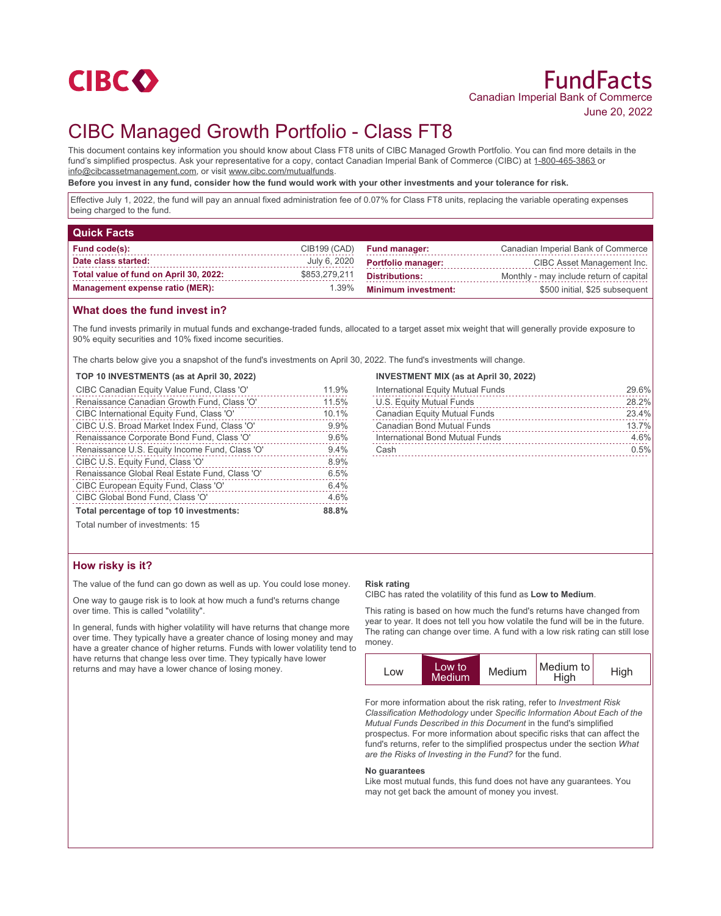

# CIBC Managed Growth Portfolio - Class FT8

This document contains key information you should know about Class FT8 units of CIBC Managed Growth Portfolio. You can find more details in the fund's simplified prospectus. Ask your representative for a copy, contact Canadian Imperial Bank of Commerce (CIBC) at 1-800-465-3863 or info@cibcassetmanagement.com, or visit www.cibc.com/mutualfunds.

**Before you invest in any fund, consider how the fund would work with your other investments and your tolerance for risk.**

Effective July 1, 2022, the fund will pay an annual fixed administration fee of 0.07% for Class FT8 units, replacing the variable operating expenses being charged to the fund.

| <b>Quick Facts</b>                     |               |                            |                                         |
|----------------------------------------|---------------|----------------------------|-----------------------------------------|
| Fund code(s):                          | CIB199 (CAD)  | <b>Fund manager:</b>       | Canadian Imperial Bank of Commerce      |
| Date class started:                    | July 6, 2020  | <b>Portfolio manager:</b>  | CIBC Asset Management Inc.              |
| Total value of fund on April 30, 2022: | \$853,279,211 | <b>Distributions:</b>      | Monthly - may include return of capital |
| Management expense ratio (MER):        | 1.39%         | <b>Minimum investment:</b> | \$500 initial, \$25 subsequent          |

### **What does the fund invest in?**

The fund invests primarily in mutual funds and exchange-traded funds, allocated to a target asset mix weight that will generally provide exposure to 90% equity securities and 10% fixed income securities.

The charts below give you a snapshot of the fund's investments on April 30, 2022. The fund's investments will change.

#### **TOP 10 INVESTMENTS (as at April 30, 2022)**

| CIBC Canadian Equity Value Fund, Class 'O'     | 11.9% |
|------------------------------------------------|-------|
| Renaissance Canadian Growth Fund, Class 'O'    | 11.5% |
| CIBC International Equity Fund, Class 'O'      | 10.1% |
| CIBC U.S. Broad Market Index Fund, Class 'O'   | 9.9%  |
| Renaissance Corporate Bond Fund, Class 'O'     | 9.6%  |
| Renaissance U.S. Equity Income Fund, Class 'O' | 9.4%  |
| CIBC U.S. Equity Fund, Class 'O'               | 8.9%  |
| Renaissance Global Real Estate Fund, Class 'O' | 6.5%  |
| CIBC European Equity Fund, Class 'O'           | 6.4%  |
| CIBC Global Bond Fund, Class 'O'               | 4.6%  |
| Total percentage of top 10 investments:        | 88.8% |

#### **INVESTMENT MIX (as at April 30, 2022)**

| International Equity Mutual Funds   | 29.6% |
|-------------------------------------|-------|
| U.S. Equity Mutual Funds            | 28.2% |
| <b>Canadian Equity Mutual Funds</b> | 23.4% |
| Canadian Bond Mutual Funds          | 13.7% |
| International Bond Mutual Funds     | 4.6%  |
| Cash                                | 0.5%  |
|                                     |       |

Total number of investments: 15

## **How risky is it?**

The value of the fund can go down as well as up. You could lose money.

One way to gauge risk is to look at how much a fund's returns change over time. This is called "volatility".

In general, funds with higher volatility will have returns that change more over time. They typically have a greater chance of losing money and may have a greater chance of higher returns. Funds with lower volatility tend to have returns that change less over time. They typically have lower returns and may have a lower chance of losing money.

#### **Risk rating**

CIBC has rated the volatility of this fund as **Low to Medium**.

This rating is based on how much the fund's returns have changed from year to year. It does not tell you how volatile the fund will be in the future. The rating can change over time. A fund with a low risk rating can still lose money.



For more information about the risk rating, refer to *Investment Risk Classification Methodology* under *Specific Information About Each of the Mutual Funds Described in this Document* in the fund's simplified prospectus. For more information about specific risks that can affect the fund's returns, refer to the simplified prospectus under the section *What are the Risks of Investing in the Fund?* for the fund.

#### **No guarantees**

Like most mutual funds, this fund does not have any guarantees. You may not get back the amount of money you invest.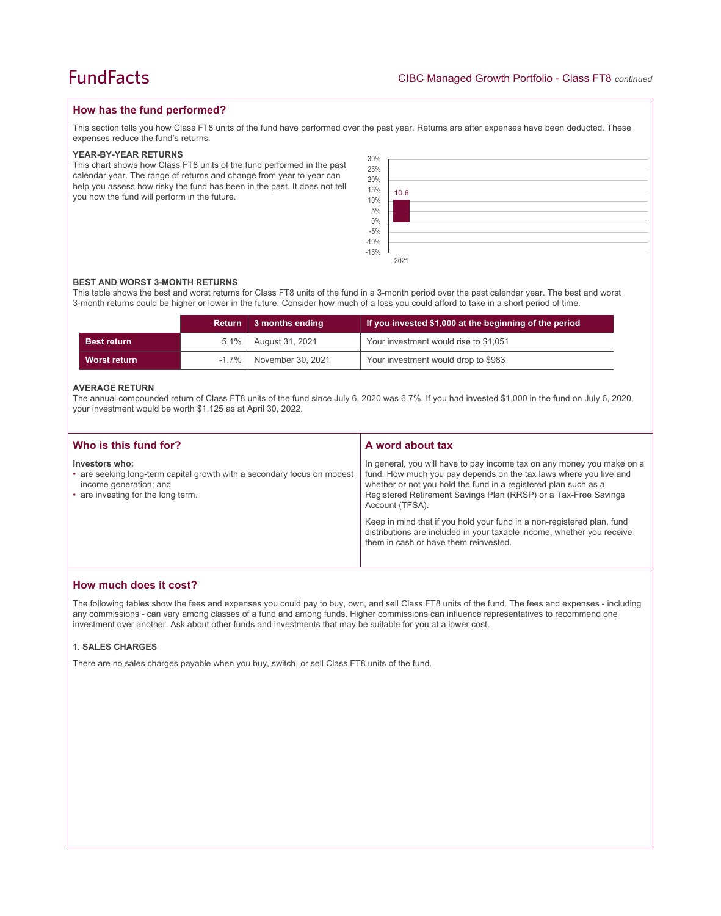## **How has the fund performed?**

This section tells you how Class FT8 units of the fund have performed over the past year. Returns are after expenses have been deducted. These expenses reduce the fund's returns.

#### **YEAR-BY-YEAR RETURNS**

This chart shows how Class FT8 units of the fund performed in the past calendar year. The range of returns and change from year to year can help you assess how risky the fund has been in the past. It does not tell you how the fund will perform in the future.

| 30%<br>$\begin{array}{l} 25\% \\ 20\% \\ 15\% \\ 10\% \\ 5\% \\ 0\% \\ -5\% \\ -10\% \\ -15\% \end{array}$ | 10.6 |  |
|------------------------------------------------------------------------------------------------------------|------|--|
|                                                                                                            | 2021 |  |

#### **BEST AND WORST 3-MONTH RETURNS**

This table shows the best and worst returns for Class FT8 units of the fund in a 3-month period over the past calendar year. The best and worst 3-month returns could be higher or lower in the future. Consider how much of a loss you could afford to take in a short period of time.

|                    | <b>Return</b> | ∣ 3 months ending      | If you invested \$1,000 at the beginning of the period |
|--------------------|---------------|------------------------|--------------------------------------------------------|
| <b>Best return</b> |               | 5.1%   August 31, 2021 | Your investment would rise to \$1,051                  |
| Worst return       | $-1.7\%$      | November 30, 2021      | Your investment would drop to \$983                    |

#### **AVERAGE RETURN**

The annual compounded return of Class FT8 units of the fund since July 6, 2020 was 6.7%. If you had invested \$1,000 in the fund on July 6, 2020, your investment would be worth \$1,125 as at April 30, 2022.

| Who is this fund for?                                                                                                                                     | A word about tax                                                                                                                                                                                                                                                                                     |
|-----------------------------------------------------------------------------------------------------------------------------------------------------------|------------------------------------------------------------------------------------------------------------------------------------------------------------------------------------------------------------------------------------------------------------------------------------------------------|
| Investors who:<br>• are seeking long-term capital growth with a secondary focus on modest<br>income generation; and<br>• are investing for the long term. | In general, you will have to pay income tax on any money you make on a<br>fund. How much you pay depends on the tax laws where you live and<br>whether or not you hold the fund in a registered plan such as a<br>Registered Retirement Savings Plan (RRSP) or a Tax-Free Savings<br>Account (TFSA). |
|                                                                                                                                                           | Keep in mind that if you hold your fund in a non-registered plan, fund<br>distributions are included in your taxable income, whether you receive<br>them in cash or have them reinvested.                                                                                                            |

## **How much does it cost?**

The following tables show the fees and expenses you could pay to buy, own, and sell Class FT8 units of the fund. The fees and expenses - including any commissions - can vary among classes of a fund and among funds. Higher commissions can influence representatives to recommend one investment over another. Ask about other funds and investments that may be suitable for you at a lower cost.

#### **1. SALES CHARGES**

There are no sales charges payable when you buy, switch, or sell Class FT8 units of the fund.